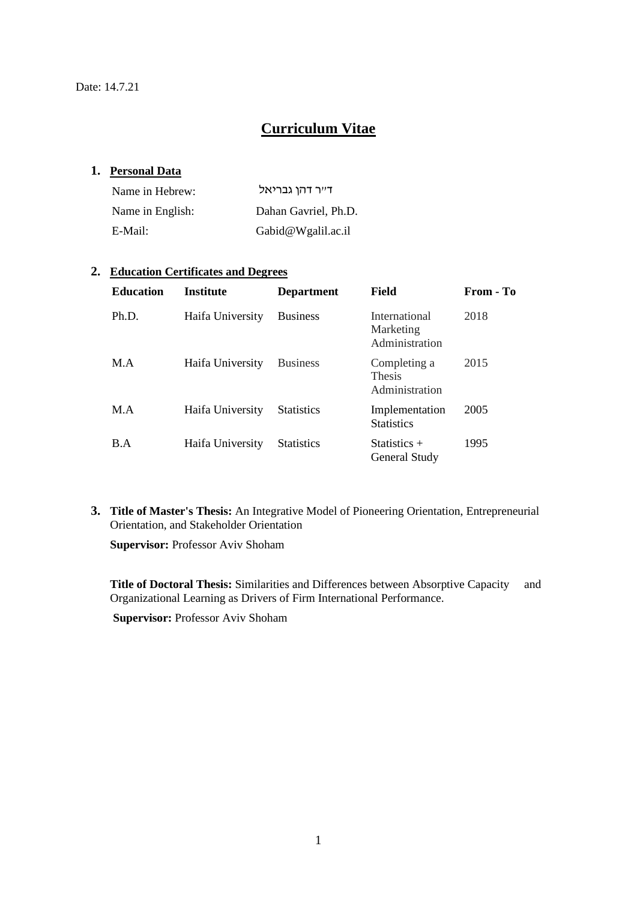# **Curriculum Vitae**

## **1. Personal Data**

| Name in Hebrew:  | דייר דהן גבריאל      |
|------------------|----------------------|
| Name in English: | Dahan Gavriel, Ph.D. |
| E-Mail:          | Gabid@Wgalil.ac.il   |

#### **2. Education Certificates and Degrees**

| <b>Education</b> | <b>Institute</b> | <b>Department</b> | Field                                           | From - To |
|------------------|------------------|-------------------|-------------------------------------------------|-----------|
| Ph.D.            | Haifa University | <b>Business</b>   | International<br>Marketing<br>Administration    | 2018      |
| M.A              | Haifa University | <b>Business</b>   | Completing a<br><b>Thesis</b><br>Administration | 2015      |
| M.A              | Haifa University | <b>Statistics</b> | Implementation<br><b>Statistics</b>             | 2005      |
| B.A              | Haifa University | <b>Statistics</b> | Statistics $+$<br>General Study                 | 1995      |

**3. Title of Master's Thesis:** An Integrative Model of Pioneering Orientation, Entrepreneurial Orientation, and Stakeholder Orientation

**Supervisor:** Professor Aviv Shoham

**Title of Doctoral Thesis:** Similarities and Differences between Absorptive Capacity and Organizational Learning as Drivers of Firm International Performance.

**Supervisor:** Professor Aviv Shoham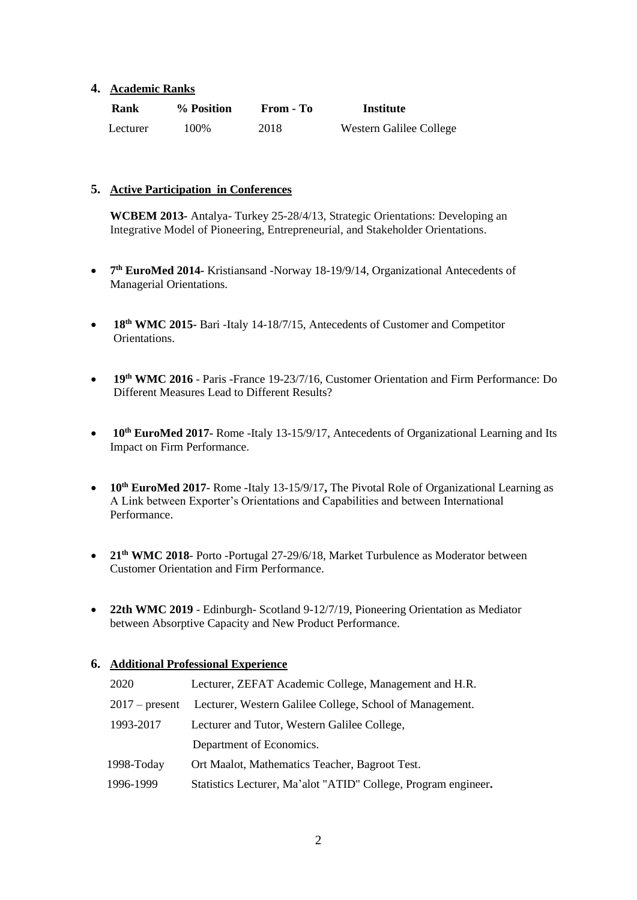#### **4. Academic Ranks**

| Rank     | % Position | From - To | Institute               |
|----------|------------|-----------|-------------------------|
| Lecturer | 100%       | 2018      | Western Galilee College |

#### **5. Active Participation in Conferences**

**WCBEM 2013-** Antalya- Turkey 25-28/4/13, Strategic Orientations: Developing an Integrative Model of Pioneering, Entrepreneurial, and Stakeholder Orientations.

- **7 th EuroMed 2014-** Kristiansand -Norway 18-19/9/14, Organizational Antecedents of Managerial Orientations.
- **18th WMC 2015-** Bari -Italy 14-18/7/15, Antecedents of Customer and Competitor Orientations.
- **19th WMC 2016** Paris -France 19-23/7/16, Customer Orientation and Firm Performance: Do Different Measures Lead to Different Results?
- **10<sup>th</sup> EuroMed 2017-** Rome -Italy 13-15/9/17, Antecedents of Organizational Learning and Its Impact on Firm Performance.
- **10th EuroMed 2017-** Rome -Italy 13-15/9/17**,** The Pivotal Role of Organizational Learning as A Link between Exporter's Orientations and Capabilities and between International Performance.
- **21th WMC 2018** Porto -Portugal 27-29/6/18, Market Turbulence as Moderator between Customer Orientation and Firm Performance.
- **22th WMC 2019** Edinburgh- Scotland 9-12/7/19, Pioneering Orientation as Mediator between Absorptive Capacity and New Product Performance.

#### **6. Additional Professional Experience**

| 2020             | Lecturer, ZEFAT Academic College, Management and H.R.          |
|------------------|----------------------------------------------------------------|
| $2017$ – present | Lecturer, Western Galilee College, School of Management.       |
| 1993-2017        | Lecturer and Tutor, Western Galilee College,                   |
|                  | Department of Economics.                                       |
| 1998-Today       | Ort Maalot, Mathematics Teacher, Bagroot Test.                 |
| 1996-1999        | Statistics Lecturer, Ma'alot "ATID" College, Program engineer. |
|                  |                                                                |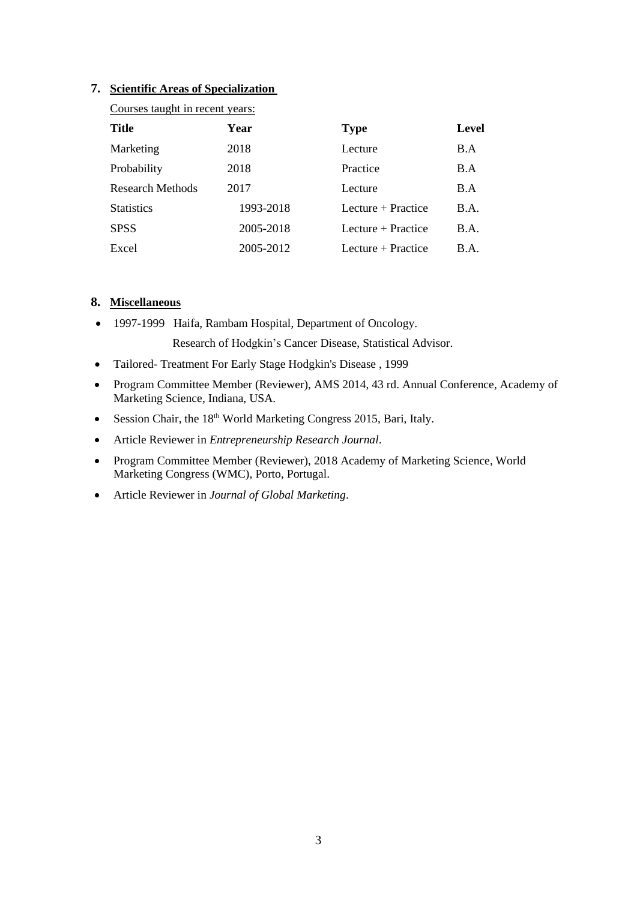#### **7. Scientific Areas of Specialization**

| Courses taught in recent years: |           |                      |              |  |  |
|---------------------------------|-----------|----------------------|--------------|--|--|
| <b>Title</b>                    | Year      | <b>Type</b>          | <b>Level</b> |  |  |
| Marketing                       | 2018      | Lecture              | B.A          |  |  |
| Probability                     | 2018      | Practice             | B.A          |  |  |
| <b>Research Methods</b>         | 2017      | Lecture              | B.A          |  |  |
| <b>Statistics</b>               | 1993-2018 | Lecture + Practice   | B.A.         |  |  |
| <b>SPSS</b>                     | 2005-2018 | Lecture $+$ Practice | B.A.         |  |  |
| Excel                           | 2005-2012 | Lecture + Practice   | B.A.         |  |  |

# **8. Miscellaneous**

- 1997-1999 Haifa, Rambam Hospital, Department of Oncology. Research of Hodgkin's Cancer Disease, Statistical Advisor.
- Tailored- Treatment For Early Stage Hodgkin's Disease , 1999
- Program Committee Member (Reviewer), AMS 2014, 43 rd. Annual Conference, Academy of Marketing Science, Indiana, USA.
- Session Chair, the 18<sup>th</sup> World Marketing Congress 2015, Bari, Italy.
- Article Reviewer in *Entrepreneurship Research Journal*.
- Program Committee Member (Reviewer), 2018 Academy of Marketing Science, World Marketing Congress (WMC), Porto, Portugal.
- Article Reviewer in *Journal of Global Marketing*.